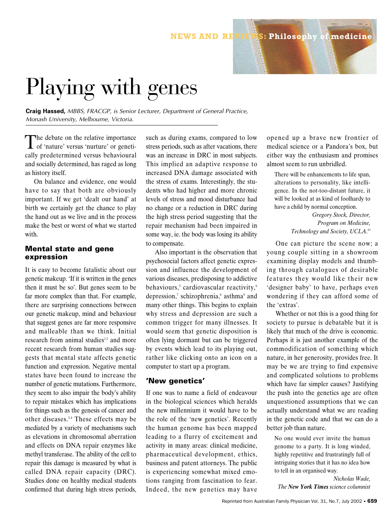## **NEWS AND REVIEWS: Philosophy of medicine**

# Playing with genes

**Craig Hassed,** *MBBS, FRACGP, is Senior Lecturer, Department of General Practice, Monash University, Melbourne, Victoria.* 

The debate on the relative importance<br>of 'nature' versus 'nurture' or genetically predetermined versus behavioural and socially determined, has raged as long as history itself.

On balance and evidence, one would have to say that both are obviously important. If we get 'dealt our hand' at birth we certainly get the chance to play the hand out as we live and in the process make the best or worst of what we started with.

## **Mental state and gene expression**

It is easy to become fatalistic about our genetic makeup. 'If it is written in the genes then it must be so'. But genes seem to be far more complex than that. For example, there are surprising connections between our genetic makeup, mind and behaviour that suggest genes are far more responsive and malleable than we think. Initial research from animal studies<sup>1,2</sup> and more recent research from human studies suggests that mental state affects genetic function and expression. Negative mental states have been found to increase the number of genetic mutations. Furthermore, they seem to also impair the body's ability to repair mistakes which has implications for things such as the genesis of cancer and other diseases.3,4 These effects may be mediated by a variety of mechanisms such as elevations in chromosomal aberration and effects on DNA repair enzymes like methyl transferase. The ability of the cell to repair this damage is measured by what is called DNA repair capacity (DRC). Studies done on healthy medical students confirmed that during high stress periods,

such as during exams, compared to low stress periods, such as after vacations, there was an increase in DRC in most subjects. This implied an adaptive response to increased DNA damage associated with the stress of exams. Interestingly, the students who had higher and more chronic levels of stress and mood disturbance had no change or a reduction in DRC during the high stress period suggesting that the repair mechanism had been impaired in some way, ie. the body was losing its ability to compensate.

Also important is the observation that psychosocial factors affect genetic expression and influence the development of various diseases, predisposing to addictive behaviours, $5$  cardiovascular reactivity, $6$ depression,<sup>7</sup> schizophrenia,<sup>8</sup> asthma<sup>9</sup> and many other things. This begins to explain why stress and depression are such a common trigger for many illnesses. It would seem that genetic disposition is often lying dormant but can be triggered by events which lead to its playing out, rather like clicking onto an icon on a computer to start up a program.

### **'New genetics'**

If one was to name a field of endeavour in the biological sciences which heralds the new millennium it would have to be the role of the 'new genetics'. Recently the human genome has been mapped leading to a flurry of excitement and activity in many areas: clinical medicine, pharmaceutical development, ethics, business and patent attorneys. The public is experiencing somewhat mixed emotions ranging from fascination to fear. Indeed, the new genetics may have

opened up a brave new frontier of medical science or a Pandora's box, but either way the enthusiasm and promises almost seem to run unbridled.

There will be enhancements to life span, alterations to personality, like intelligence. In the not-too-distant future, it will be looked at as kind of foolhardy to have a child by normal conception.

> *Gregory Stock, Director, Program on Medicine, Technology and Society, UCLA*. 10

One can picture the scene now; a young couple sitting in a showroom examining display models and thumbing through catalogues of desirable features they would like their new 'designer baby' to have, perhaps even wondering if they can afford some of the 'extras'.

Whether or not this is a good thing for society to pursue is debatable but it is likely that much of the drive is economic. Perhaps it is just another example of the commodification of something which nature, in her generosity, provides free. It may be we are trying to find expensive and complicated solutions to problems which have far simpler causes? Justifying the push into the genetics age are often unquestioned assumptions that we can actually understand what we are reading in the genetic code and that we can do a better job than nature.

No one would ever invite the human genome to a party. It is long winded, highly repetitive and frustratingly full of intriguing stories that it has no idea how to tell in an organised way.

*Nicholas Wade, The New York Times science columnist*